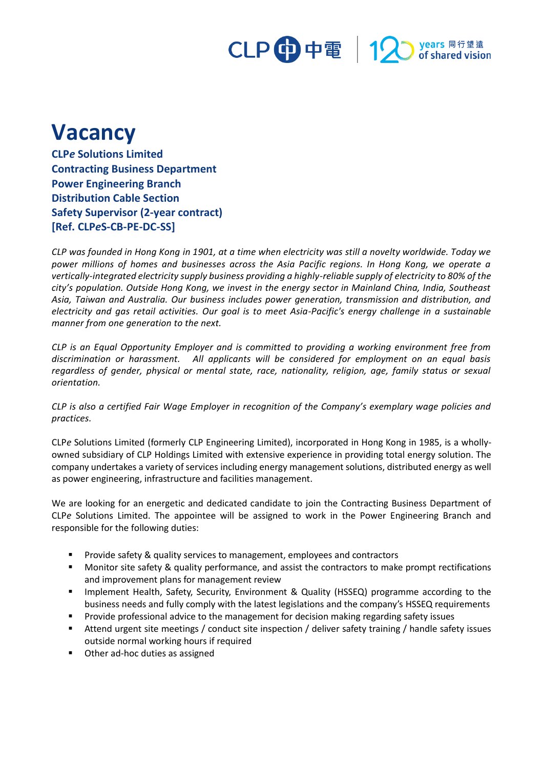### CLP 中電 | 12 years 同行望遠<br>pof shared vision

# **Vacancy**

**CLP***e* **Solutions Limited Contracting Business Department Power Engineering Branch Distribution Cable Section Safety Supervisor (2-year contract) [Ref. CLP***e***S-CB-PE-DC-SS]**

*CLP was founded in Hong Kong in 1901, at a time when electricity was still a novelty worldwide. Today we power millions of homes and businesses across the Asia Pacific regions. In Hong Kong, we operate a vertically-integrated electricity supply business providing a highly-reliable supply of electricity to 80% of the city's population. Outside Hong Kong, we invest in the energy sector in Mainland China, India, Southeast Asia, Taiwan and Australia. Our business includes power generation, transmission and distribution, and electricity and gas retail activities. Our goal is to meet Asia-Pacific's energy challenge in a sustainable manner from one generation to the next.*

*CLP is an Equal Opportunity Employer and is committed to providing a working environment free from discrimination or harassment. All applicants will be considered for employment on an equal basis regardless of gender, physical or mental state, race, nationality, religion, age, family status or sexual orientation.*

*CLP is also a certified Fair Wage Employer in recognition of the Company's exemplary wage policies and practices.*

CLP*e* Solutions Limited (formerly CLP Engineering Limited), incorporated in Hong Kong in 1985, is a whollyowned subsidiary of CLP Holdings Limited with extensive experience in providing total energy solution. The company undertakes a variety of services including energy management solutions, distributed energy as well as power engineering, infrastructure and facilities management.

We are looking for an energetic and dedicated candidate to join the Contracting Business Department of CLP*e* Solutions Limited. The appointee will be assigned to work in the Power Engineering Branch and responsible for the following duties:

- Provide safety & quality services to management, employees and contractors
- Monitor site safety & quality performance, and assist the contractors to make prompt rectifications and improvement plans for management review
- Implement Health, Safety, Security, Environment & Quality (HSSEQ) programme according to the business needs and fully comply with the latest legislations and the company's HSSEQ requirements
- Provide professional advice to the management for decision making regarding safety issues
- Attend urgent site meetings / conduct site inspection / deliver safety training / handle safety issues outside normal working hours if required
- Other ad-hoc duties as assigned